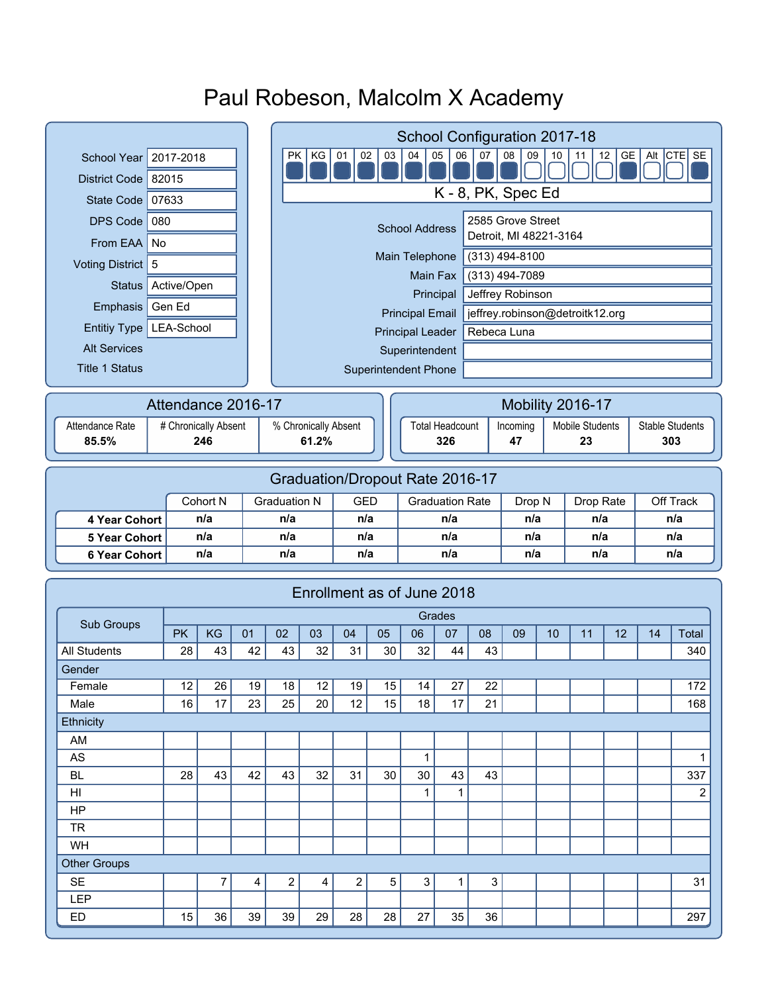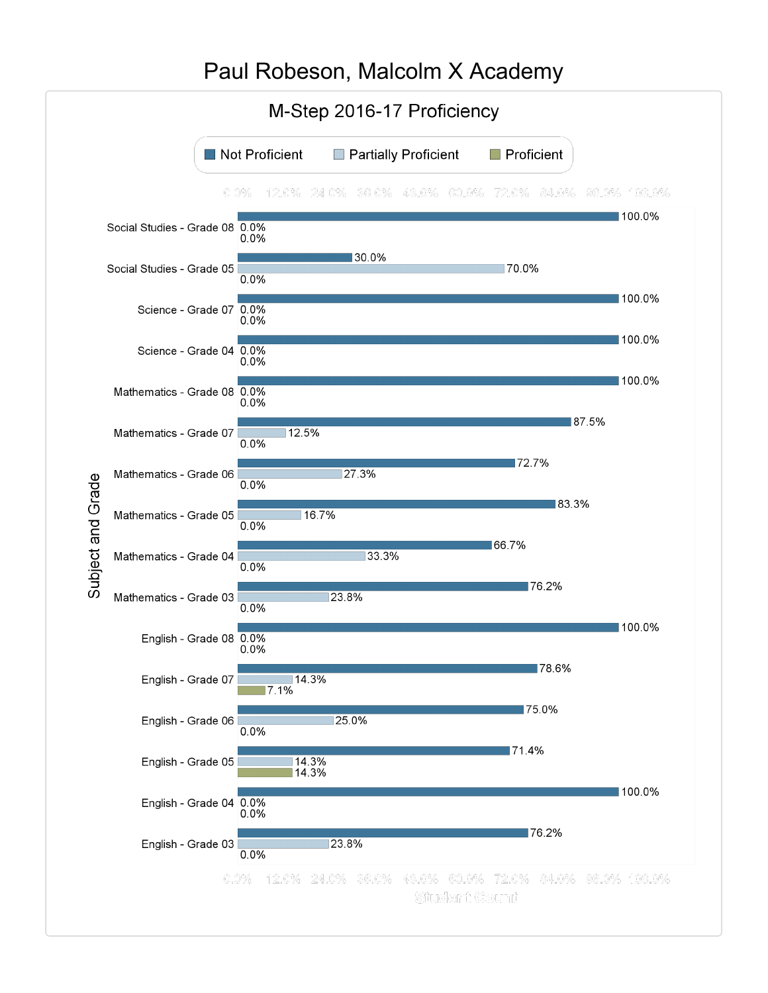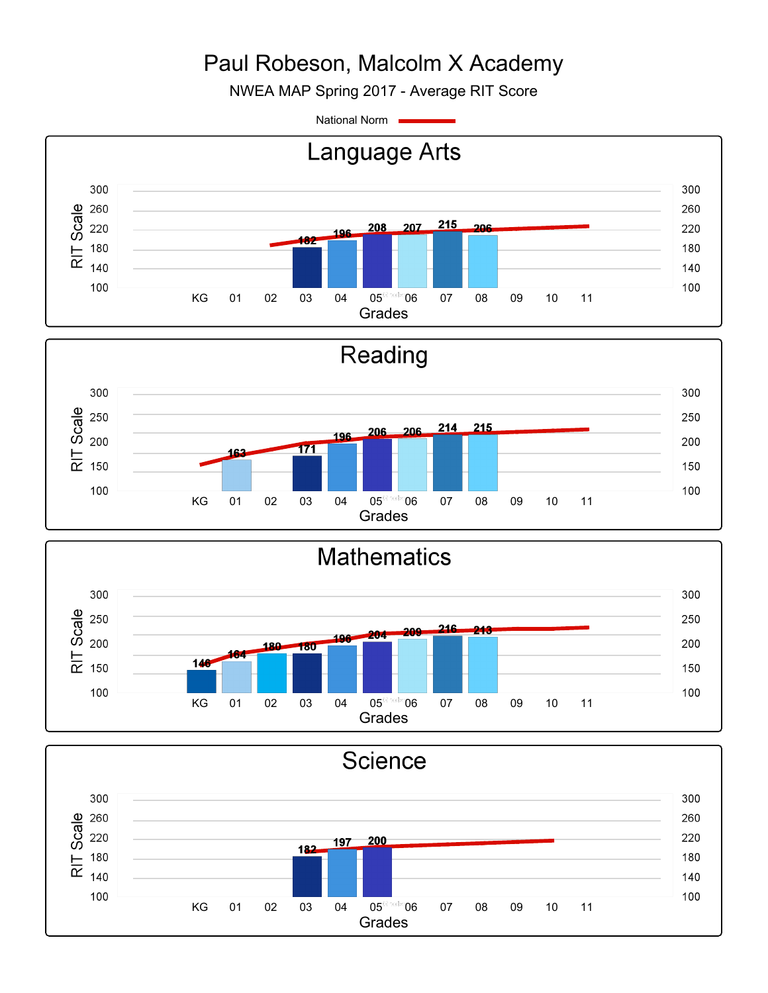NWEA MAP Spring 2017 - Average RIT Score

National Norm